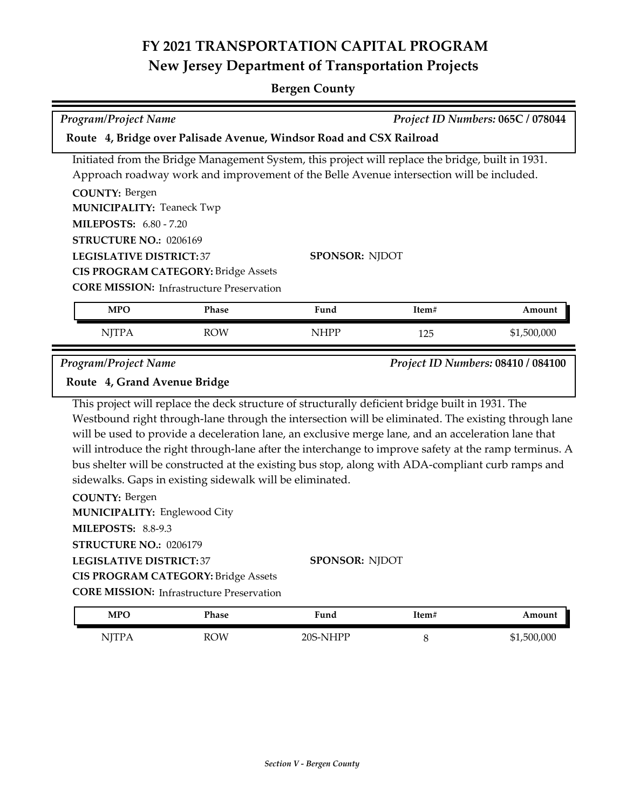| <b>Program/Project Name</b><br>Project ID Numbers: 065C / 078044                                                                                |                                                                                                                                                            |                                                                                                                                                                                                                                                                                                                                                                                                                                                                                                                                                       |       |                                    |
|-------------------------------------------------------------------------------------------------------------------------------------------------|------------------------------------------------------------------------------------------------------------------------------------------------------------|-------------------------------------------------------------------------------------------------------------------------------------------------------------------------------------------------------------------------------------------------------------------------------------------------------------------------------------------------------------------------------------------------------------------------------------------------------------------------------------------------------------------------------------------------------|-------|------------------------------------|
|                                                                                                                                                 |                                                                                                                                                            | Route 4, Bridge over Palisade Avenue, Windsor Road and CSX Railroad                                                                                                                                                                                                                                                                                                                                                                                                                                                                                   |       |                                    |
| <b>COUNTY: Bergen</b>                                                                                                                           |                                                                                                                                                            | Initiated from the Bridge Management System, this project will replace the bridge, built in 1931.<br>Approach roadway work and improvement of the Belle Avenue intersection will be included.                                                                                                                                                                                                                                                                                                                                                         |       |                                    |
| <b>MUNICIPALITY: Teaneck Twp</b>                                                                                                                |                                                                                                                                                            |                                                                                                                                                                                                                                                                                                                                                                                                                                                                                                                                                       |       |                                    |
| <b>MILEPOSTS: 6.80 - 7.20</b>                                                                                                                   |                                                                                                                                                            |                                                                                                                                                                                                                                                                                                                                                                                                                                                                                                                                                       |       |                                    |
| STRUCTURE NO.: 0206169                                                                                                                          |                                                                                                                                                            |                                                                                                                                                                                                                                                                                                                                                                                                                                                                                                                                                       |       |                                    |
| <b>LEGISLATIVE DISTRICT:37</b>                                                                                                                  |                                                                                                                                                            | <b>SPONSOR: NJDOT</b>                                                                                                                                                                                                                                                                                                                                                                                                                                                                                                                                 |       |                                    |
|                                                                                                                                                 | <b>CIS PROGRAM CATEGORY: Bridge Assets</b><br><b>CORE MISSION:</b> Infrastructure Preservation                                                             |                                                                                                                                                                                                                                                                                                                                                                                                                                                                                                                                                       |       |                                    |
|                                                                                                                                                 |                                                                                                                                                            |                                                                                                                                                                                                                                                                                                                                                                                                                                                                                                                                                       |       |                                    |
| <b>MPO</b>                                                                                                                                      | <b>Phase</b>                                                                                                                                               | Fund                                                                                                                                                                                                                                                                                                                                                                                                                                                                                                                                                  | Item# | Amount                             |
| <b>NJTPA</b>                                                                                                                                    | <b>ROW</b>                                                                                                                                                 | <b>NHPP</b>                                                                                                                                                                                                                                                                                                                                                                                                                                                                                                                                           | 125   | \$1,500,000                        |
| Program/Project Name                                                                                                                            |                                                                                                                                                            |                                                                                                                                                                                                                                                                                                                                                                                                                                                                                                                                                       |       | Project ID Numbers: 08410 / 084100 |
| Route 4, Grand Avenue Bridge                                                                                                                    |                                                                                                                                                            |                                                                                                                                                                                                                                                                                                                                                                                                                                                                                                                                                       |       |                                    |
| <b>COUNTY: Bergen</b><br><b>MUNICIPALITY: Englewood City</b><br>MILEPOSTS: 8.8-9.3<br>STRUCTURE NO.: 0206179<br><b>LEGISLATIVE DISTRICT: 37</b> | sidewalks. Gaps in existing sidewalk will be eliminated.<br><b>CIS PROGRAM CATEGORY: Bridge Assets</b><br><b>CORE MISSION:</b> Infrastructure Preservation | This project will replace the deck structure of structurally deficient bridge built in 1931. The<br>Westbound right through-lane through the intersection will be eliminated. The existing through lane<br>will be used to provide a deceleration lane, an exclusive merge lane, and an acceleration lane that<br>will introduce the right through-lane after the interchange to improve safety at the ramp terminus. A<br>bus shelter will be constructed at the existing bus stop, along with ADA-compliant curb ramps and<br><b>SPONSOR: NJDOT</b> |       |                                    |
| <b>MPO</b>                                                                                                                                      | <b>Phase</b>                                                                                                                                               | Fund                                                                                                                                                                                                                                                                                                                                                                                                                                                                                                                                                  | Item# | Amount                             |

| MTU          | r nase     | runu     | 1 септ | Amount      |
|--------------|------------|----------|--------|-------------|
| <b>NITPA</b> | <b>ROW</b> | 20S-NHPP |        | \$1,500,000 |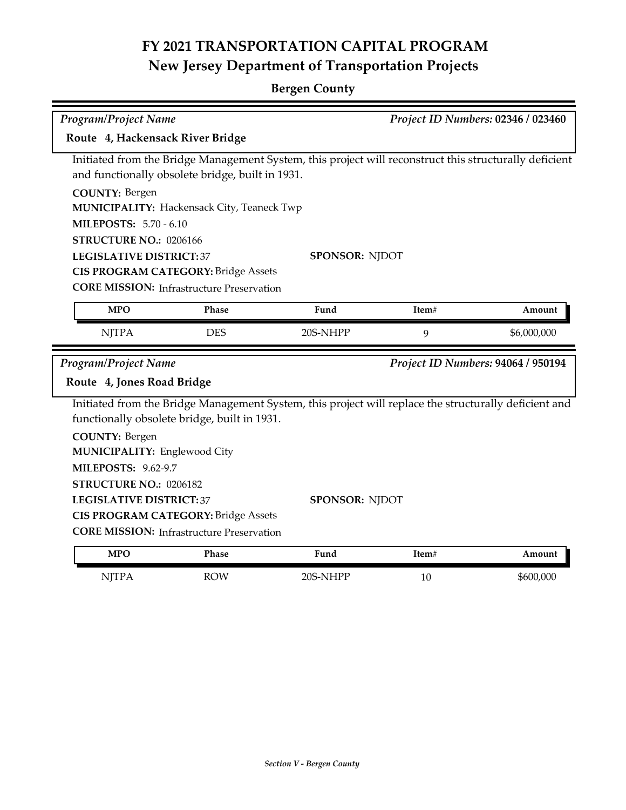| Program/Project Name<br>Project ID Numbers: 02346 / 023460 |                                                                                                |                                                                                                        |                                     |                                    |  |  |  |  |
|------------------------------------------------------------|------------------------------------------------------------------------------------------------|--------------------------------------------------------------------------------------------------------|-------------------------------------|------------------------------------|--|--|--|--|
| Route 4, Hackensack River Bridge                           |                                                                                                |                                                                                                        |                                     |                                    |  |  |  |  |
|                                                            |                                                                                                | Initiated from the Bridge Management System, this project will reconstruct this structurally deficient |                                     |                                    |  |  |  |  |
|                                                            | and functionally obsolete bridge, built in 1931.                                               |                                                                                                        |                                     |                                    |  |  |  |  |
| <b>COUNTY: Bergen</b>                                      |                                                                                                |                                                                                                        |                                     |                                    |  |  |  |  |
|                                                            | MUNICIPALITY: Hackensack City, Teaneck Twp                                                     |                                                                                                        |                                     |                                    |  |  |  |  |
| <b>MILEPOSTS: 5.70 - 6.10</b>                              |                                                                                                |                                                                                                        |                                     |                                    |  |  |  |  |
| STRUCTURE NO.: 0206166                                     |                                                                                                |                                                                                                        |                                     |                                    |  |  |  |  |
| <b>LEGISLATIVE DISTRICT:37</b>                             |                                                                                                | <b>SPONSOR: NJDOT</b>                                                                                  |                                     |                                    |  |  |  |  |
|                                                            | <b>CIS PROGRAM CATEGORY: Bridge Assets</b><br><b>CORE MISSION: Infrastructure Preservation</b> |                                                                                                        |                                     |                                    |  |  |  |  |
|                                                            |                                                                                                |                                                                                                        |                                     |                                    |  |  |  |  |
| <b>MPO</b>                                                 | Phase                                                                                          | Fund                                                                                                   | Item#                               | Amount                             |  |  |  |  |
| <b>NJTPA</b>                                               | <b>DES</b>                                                                                     | 20S-NHPP                                                                                               | 9                                   | \$6,000,000                        |  |  |  |  |
| Program/Project Name                                       |                                                                                                |                                                                                                        |                                     | Project ID Numbers: 94064 / 950194 |  |  |  |  |
| Route 4, Jones Road Bridge                                 |                                                                                                |                                                                                                        |                                     |                                    |  |  |  |  |
|                                                            |                                                                                                | Initiated from the Bridge Management System, this project will replace the structurally deficient and  |                                     |                                    |  |  |  |  |
|                                                            | functionally obsolete bridge, built in 1931.                                                   |                                                                                                        |                                     |                                    |  |  |  |  |
| <b>COUNTY: Bergen</b>                                      |                                                                                                |                                                                                                        |                                     |                                    |  |  |  |  |
|                                                            |                                                                                                |                                                                                                        | <b>MUNICIPALITY: Englewood City</b> |                                    |  |  |  |  |
|                                                            |                                                                                                |                                                                                                        |                                     |                                    |  |  |  |  |
| <b>MILEPOSTS: 9.62-9.7</b>                                 |                                                                                                |                                                                                                        |                                     |                                    |  |  |  |  |
| STRUCTURE NO.: 0206182                                     |                                                                                                |                                                                                                        |                                     |                                    |  |  |  |  |
| <b>LEGISLATIVE DISTRICT: 37</b>                            |                                                                                                | <b>SPONSOR: NJDOT</b>                                                                                  |                                     |                                    |  |  |  |  |
|                                                            | <b>CIS PROGRAM CATEGORY: Bridge Assets</b>                                                     |                                                                                                        |                                     |                                    |  |  |  |  |
|                                                            | <b>CORE MISSION: Infrastructure Preservation</b>                                               |                                                                                                        |                                     |                                    |  |  |  |  |
| <b>MPO</b>                                                 | <b>Phase</b>                                                                                   | Fund                                                                                                   | Item#                               | Amount                             |  |  |  |  |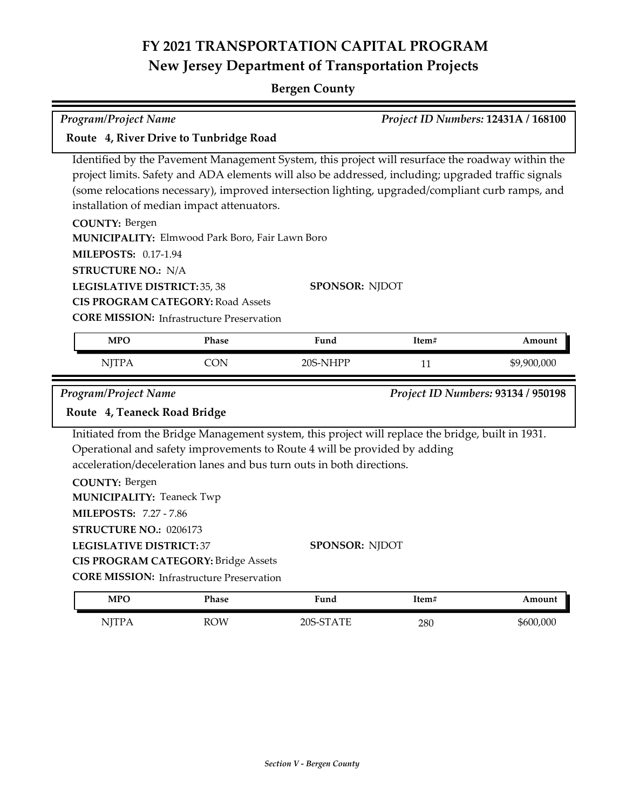| <b>Program/Project Name</b>                                                                                                                            | Project ID Numbers: 12431A / 168100                                                          |                                                                                                                                                                                                                                                                                                             |       |                                    |  |
|--------------------------------------------------------------------------------------------------------------------------------------------------------|----------------------------------------------------------------------------------------------|-------------------------------------------------------------------------------------------------------------------------------------------------------------------------------------------------------------------------------------------------------------------------------------------------------------|-------|------------------------------------|--|
| Route 4, River Drive to Tunbridge Road                                                                                                                 |                                                                                              |                                                                                                                                                                                                                                                                                                             |       |                                    |  |
|                                                                                                                                                        | installation of median impact attenuators.                                                   | Identified by the Pavement Management System, this project will resurface the roadway within the<br>project limits. Safety and ADA elements will also be addressed, including; upgraded traffic signals<br>(some relocations necessary), improved intersection lighting, upgraded/compliant curb ramps, and |       |                                    |  |
| <b>COUNTY: Bergen</b><br><b>MILEPOSTS: 0.17-1.94</b>                                                                                                   | MUNICIPALITY: Elmwood Park Boro, Fair Lawn Boro                                              |                                                                                                                                                                                                                                                                                                             |       |                                    |  |
| <b>STRUCTURE NO.: N/A</b><br><b>LEGISLATIVE DISTRICT: 35, 38</b>                                                                                       | <b>CIS PROGRAM CATEGORY: Road Assets</b><br><b>CORE MISSION:</b> Infrastructure Preservation | <b>SPONSOR: NJDOT</b>                                                                                                                                                                                                                                                                                       |       |                                    |  |
| <b>MPO</b>                                                                                                                                             | Phase                                                                                        | Fund                                                                                                                                                                                                                                                                                                        | Item# | Amount                             |  |
| <b>NJTPA</b>                                                                                                                                           | <b>CON</b>                                                                                   | 20S-NHPP                                                                                                                                                                                                                                                                                                    | 11    | \$9,900,000                        |  |
| <b>Program/Project Name</b>                                                                                                                            |                                                                                              |                                                                                                                                                                                                                                                                                                             |       | Project ID Numbers: 93134 / 950198 |  |
| Route 4, Teaneck Road Bridge                                                                                                                           |                                                                                              |                                                                                                                                                                                                                                                                                                             |       |                                    |  |
| <b>COUNTY: Bergen</b><br><b>MUNICIPALITY: Teaneck Twp</b><br><b>MILEPOSTS: 7.27 - 7.86</b><br>STRUCTURE NO.: 0206173<br><b>LEGISLATIVE DISTRICT:37</b> | CIS PROGRAM CATEGORY: Bridge Assets                                                          | Initiated from the Bridge Management system, this project will replace the bridge, built in 1931.<br>Operational and safety improvements to Route 4 will be provided by adding<br>acceleration/deceleration lanes and bus turn outs in both directions.<br><b>SPONSOR: NJDOT</b>                            |       |                                    |  |
|                                                                                                                                                        | <b>CORE MISSION:</b> Infrastructure Preservation                                             |                                                                                                                                                                                                                                                                                                             |       |                                    |  |
| <b>MPO</b>                                                                                                                                             | <b>Phase</b>                                                                                 | Fund                                                                                                                                                                                                                                                                                                        | Item# | Amount                             |  |
|                                                                                                                                                        |                                                                                              |                                                                                                                                                                                                                                                                                                             |       |                                    |  |